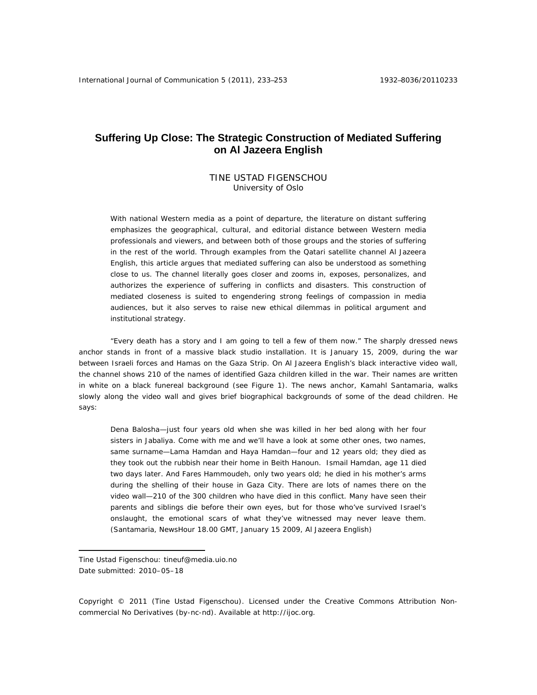# **Suffering Up Close: The Strategic Construction of Mediated Suffering on Al Jazeera English**

## TINE USTAD FIGENSCHOU University of Oslo

With national Western media as a point of departure, the literature on distant suffering emphasizes the geographical, cultural, and editorial distance between Western media professionals and viewers, and between both of those groups and the stories of suffering in the rest of the world. Through examples from the Qatari satellite channel Al Jazeera English, this article argues that mediated suffering can also be understood as something close to us. The channel literally goes closer and zooms in, exposes, personalizes, and authorizes the experience of suffering in conflicts and disasters. This construction of mediated closeness is suited to engendering strong feelings of compassion in media audiences, but it also serves to raise new ethical dilemmas in political argument and institutional strategy.

"Every death has a story and I am going to tell a few of them now." The sharply dressed news anchor stands in front of a massive black studio installation. It is January 15, 2009, during the war between Israeli forces and Hamas on the Gaza Strip. On Al Jazeera English's black interactive video wall, the channel shows 210 of the names of identified Gaza children killed in the war. Their names are written in white on a black funereal background (see Figure 1). The news anchor, Kamahl Santamaria, walks slowly along the video wall and gives brief biographical backgrounds of some of the dead children. He says:

Dena Balosha—just four years old when she was killed in her bed along with her four sisters in Jabaliya. Come with me and we'll have a look at some other ones, two names, same surname—Lama Hamdan and Haya Hamdan—four and 12 years old; they died as they took out the rubbish near their home in Beith Hanoun. Ismail Hamdan, age 11 died two days later. And Fares Hammoudeh, only two years old; he died in his mother's arms during the shelling of their house in Gaza City. There are lots of names there on the video wall—210 of the 300 children who have died in this conflict. Many have seen their parents and siblings die before their own eyes, but for those who've survived Israel's onslaught, the emotional scars of what they've witnessed may never leave them. (Santamaria, *NewsHour* 18.00 GMT, January 15 2009, Al Jazeera English)

 $\overline{a}$ 

Copyright © 2011 (Tine Ustad Figenschou). Licensed under the Creative Commons Attribution Noncommercial No Derivatives (by-nc-nd). Available at http://ijoc.org.

Tine Ustad Figenschou: tineuf@media.uio.no Date submitted: 2010–05–18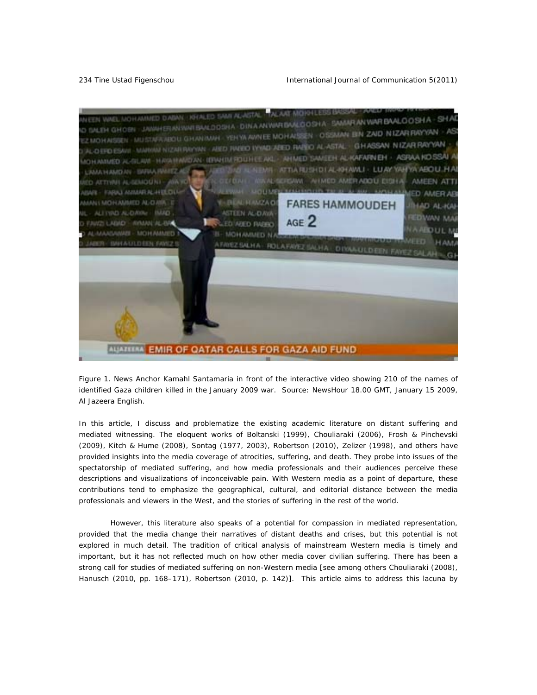

*Figure 1. News Anchor Kamahl Santamaria in front of the interactive video showing 210 of the names of identified Gaza children killed in the January 2009 war. Source:* NewsHour *18.00 GMT, January 15 2009, Al Jazeera English.* 

In this article, I discuss and problematize the existing academic literature on distant suffering and mediated witnessing. The eloquent works of Boltanski (1999), Chouliaraki (2006), Frosh & Pinchevski (2009), Kitch & Hume (2008), Sontag (1977, 2003), Robertson (2010), Zelizer (1998), and others have provided insights into the media coverage of atrocities, suffering, and death. They probe into issues of the spectatorship of mediated suffering, and how media professionals and their audiences perceive these descriptions and visualizations of inconceivable pain. With Western media as a point of departure, these contributions tend to emphasize the geographical, cultural, and editorial distance between the media professionals and viewers in the West, and the stories of suffering in the rest of the world.

 However, this literature also speaks of a potential for compassion in mediated representation, provided that the media change their narratives of distant deaths and crises, but this potential is not explored in much detail. The tradition of critical analysis of mainstream Western media is timely and important, but it has not reflected much on how other media cover civilian suffering. There has been a strong call for studies of mediated suffering on non-Western media [see among others Chouliaraki (2008), Hanusch (2010, pp. 168–171), Robertson (2010, p. 142)]. This article aims to address this lacuna by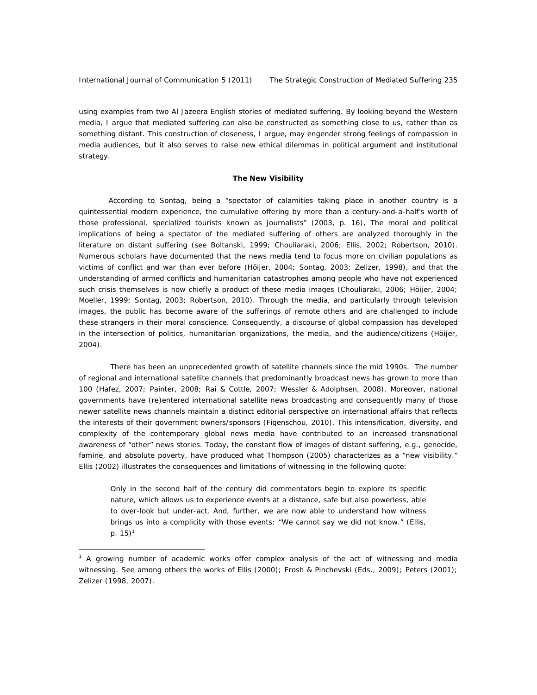using examples from two Al Jazeera English stories of mediated suffering. By looking beyond the Western media, I argue that mediated suffering can also be constructed as something *close to us*, rather than as something distant. This construction of closeness, I argue, may engender strong feelings of compassion in media audiences, but it also serves to raise new ethical dilemmas in political argument and institutional strategy.

#### **The New Visibility**

 According to Sontag, being a "spectator of calamities taking place in another country is a quintessential modern experience, the cumulative offering by more than a century-and-a-half's worth of those professional, specialized tourists known as journalists" (2003, p. 16), The moral and political implications of being a spectator of the mediated suffering of others are analyzed thoroughly in the literature on distant suffering (see Boltanski, 1999; Chouliaraki, 2006; Ellis, 2002; Robertson, 2010). Numerous scholars have documented that the news media tend to focus more on civilian populations as victims of conflict and war than ever before (Höijer, 2004; Sontag, 2003; Zelizer, 1998), and that the understanding of armed conflicts and humanitarian catastrophes among people who have not experienced such crisis themselves is now chiefly a product of these media images (Chouliaraki, 2006; Höijer, 2004; Moeller, 1999; Sontag, 2003; Robertson, 2010). Through the media, and particularly through television images, the public has become aware of the sufferings of remote others and are challenged to include these strangers in their moral conscience. Consequently, a discourse of global compassion has developed in the intersection of politics, humanitarian organizations, the media, and the audience/citizens (Höijer, 2004).

 There has been an unprecedented growth of satellite channels since the mid 1990s. The number of regional and international satellite channels that predominantly broadcast news has grown to more than 100 (Hafez, 2007; Painter, 2008; Rai & Cottle, 2007; Wessler & Adolphsen, 2008). Moreover, national governments have (re)entered international satellite news broadcasting and consequently many of those newer satellite news channels maintain a distinct editorial perspective on international affairs that reflects the interests of their government owners/sponsors (Figenschou, 2010). This intensification, diversity, and complexity of the contemporary global news media have contributed to an increased transnational awareness of "other" news stories. Today, the constant flow of images of distant suffering, e.g., genocide, famine, and absolute poverty, have produced what Thompson (2005) characterizes as a "new visibility." Ellis (2002) illustrates the consequences and limitations of witnessing in the following quote:

Only in the second half of the century did commentators begin to explore its specific nature, which allows us to experience events at a distance, safe but also powerless, able to over-look but under-act. And, further, we are now able to understand how witness brings us into a complicity with those events: "We cannot say we did not know." (Ellis, p. 15) $^1$ 

<sup>&</sup>lt;sup>1</sup> A growing number of academic works offer complex analysis of the act of witnessing and media witnessing. See among others the works of Ellis (2000); Frosh & Pinchevski (Eds., 2009); Peters (2001); Zelizer (1998, 2007).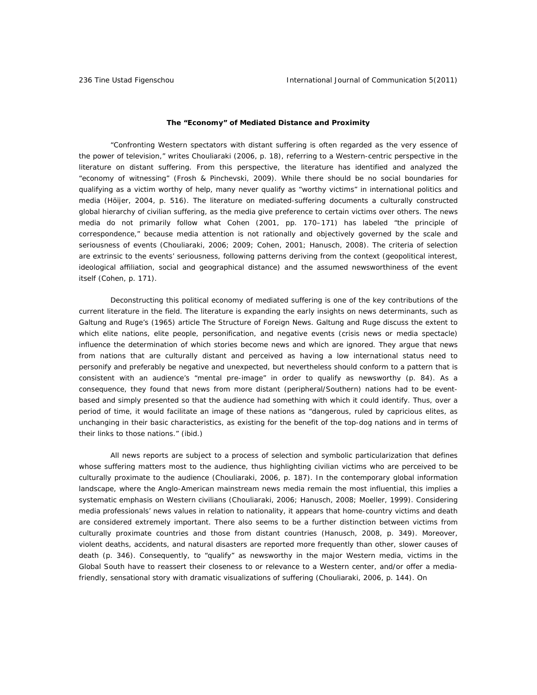#### **The "Economy" of Mediated Distance and Proximity**

"Confronting Western spectators with distant suffering is often regarded as the very essence of the power of television," writes Chouliaraki (2006, p. 18), referring to a Western-centric perspective in the literature on distant suffering. From this perspective, the literature has identified and analyzed the "economy of witnessing" (Frosh & Pinchevski, 2009). While there should be no social boundaries for qualifying as a victim worthy of help, many never qualify as "worthy victims" in international politics and media (Höijer, 2004, p. 516). The literature on mediated-suffering documents a culturally constructed global hierarchy of civilian suffering, as the media give preference to certain victims over others. The news media do not primarily follow what Cohen (2001, pp. 170–171) has labeled "the principle of correspondence," because media attention is not rationally and objectively governed by the scale and seriousness of events (Chouliaraki, 2006; 2009; Cohen, 2001; Hanusch, 2008). The criteria of selection are extrinsic to the events' seriousness, following patterns deriving from the context (geopolitical interest, ideological affiliation, social and geographical distance) and the assumed newsworthiness of the event itself (Cohen, p. 171).

Deconstructing this political economy of mediated suffering is one of the key contributions of the current literature in the field. The literature is expanding the early insights on news determinants, such as Galtung and Ruge's (1965) article *The Structure of Foreign News.* Galtung and Ruge discuss the extent to which elite nations, elite people, personification, and negative events (crisis news or media spectacle) influence the determination of which stories become news and which are ignored. They argue that news from nations that are culturally distant and perceived as having a low international status need to personify and preferably be negative and unexpected, but nevertheless should conform to a pattern that is consistent with an audience's "mental pre-image" in order to qualify as newsworthy (p. 84). As a consequence, they found that news from more distant (peripheral/Southern) nations had to be eventbased and simply presented so that the audience had something with which it could identify. Thus, over a period of time, it would facilitate an image of these nations as "dangerous, ruled by capricious elites, as unchanging in their basic characteristics, as existing for the benefit of the top-dog nations and in terms of their links to those nations." (ibid.)

All news reports are subject to a process of selection and symbolic particularization that defines whose suffering matters most to the audience, thus highlighting civilian victims who are perceived to be culturally proximate to the audience (Chouliaraki, 2006, p. 187). In the contemporary global information landscape, where the Anglo-American mainstream news media remain the most influential, this implies a systematic emphasis on Western civilians (Chouliaraki, 2006; Hanusch, 2008; Moeller, 1999). Considering media professionals' news values in relation to nationality, it appears that home-country victims and death are considered extremely important. There also seems to be a further distinction between victims from culturally proximate countries and those from distant countries (Hanusch, 2008, p. 349). Moreover, violent deaths, accidents, and natural disasters are reported more frequently than other, slower causes of death (p. 346). Consequently, to "qualify" as newsworthy in the major Western media, victims in the Global South have to reassert their closeness to or relevance to a Western center, and/or offer a mediafriendly, sensational story with dramatic visualizations of suffering (Chouliaraki, 2006, p. 144). On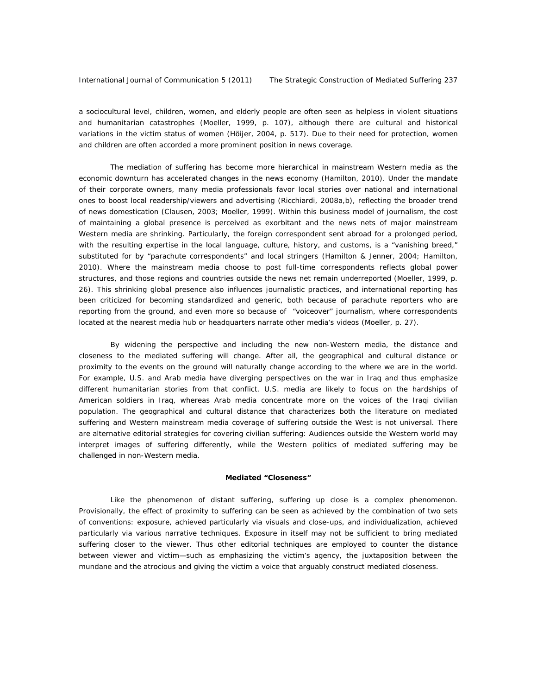a sociocultural level, children, women, and elderly people are often seen as helpless in violent situations and humanitarian catastrophes (Moeller, 1999, p. 107), although there are cultural and historical variations in the victim status of women (Höijer, 2004, p. 517). Due to their need for protection, women and children are often accorded a more prominent position in news coverage.

The mediation of suffering has become more hierarchical in mainstream Western media as the economic downturn has accelerated changes in the news economy (Hamilton, 2010). Under the mandate of their corporate owners, many media professionals favor local stories over national and international ones to boost local readership/viewers and advertising (Ricchiardi, 2008a,b), reflecting the broader trend of news domestication (Clausen, 2003; Moeller, 1999). Within this business model of journalism, the cost of maintaining a global presence is perceived as exorbitant and the news nets of major mainstream Western media are shrinking. Particularly, the foreign correspondent sent abroad for a prolonged period, with the resulting expertise in the local language, culture, history, and customs, is a "vanishing breed," substituted for by "parachute correspondents" and local stringers (Hamilton & Jenner, 2004; Hamilton, 2010). Where the mainstream media choose to post full-time correspondents reflects global power structures, and those regions and countries outside the news net remain underreported (Moeller, 1999, p. 26). This shrinking global presence also influences journalistic practices, and international reporting has been criticized for becoming standardized and generic, both because of parachute reporters who are reporting from the ground, and even more so because of "voiceover" journalism, where correspondents located at the nearest media hub or headquarters narrate other media's videos (Moeller, p. 27).

 By widening the perspective and including the new non-Western media, the distance and closeness to the mediated suffering will change. After all, the geographical and cultural distance or proximity to the events on the ground will naturally change according to the where we are in the world. For example, U.S. and Arab media have diverging perspectives on the war in Iraq and thus emphasize different humanitarian stories from that conflict. U.S. media are likely to focus on the hardships of American soldiers in Iraq, whereas Arab media concentrate more on the voices of the Iraqi civilian population. The geographical and cultural distance that characterizes both the literature on mediated suffering and Western mainstream media coverage of suffering outside the West is not universal. There are alternative editorial strategies for covering civilian suffering: Audiences outside the Western world may interpret images of suffering differently, while the Western politics of mediated suffering may be challenged in non-Western media.

#### **Mediated "Closeness"**

Like the phenomenon of distant suffering, suffering up close is a complex phenomenon. Provisionally, the effect of proximity to suffering can be seen as achieved by the combination of two sets of conventions: *exposure*, achieved particularly via visuals and close-ups, and *individualization*, achieved particularly via various narrative techniques. Exposure in itself may not be sufficient to bring mediated suffering closer to the viewer. Thus other editorial techniques are employed to counter the distance between viewer and victim—such as emphasizing the victim's agency, the juxtaposition between the mundane and the atrocious and giving the victim a voice that arguably construct mediated closeness.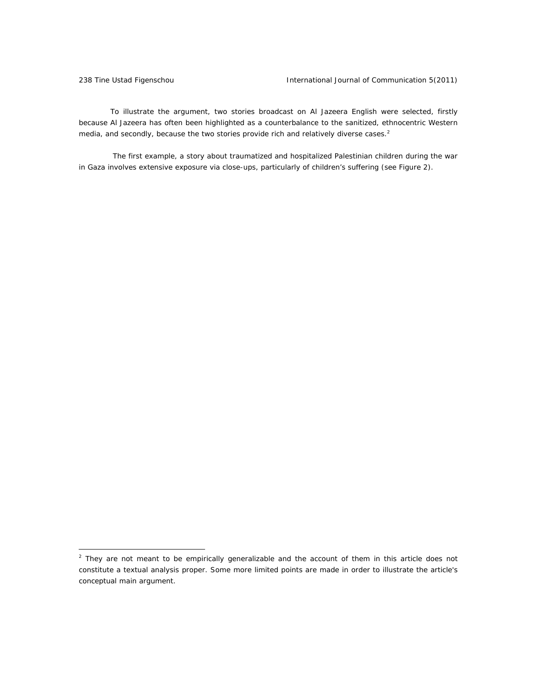To illustrate the argument, two stories broadcast on Al Jazeera English were selected, firstly because Al Jazeera has often been highlighted as a counterbalance to the sanitized, ethnocentric Western media, and secondly, because the two stories provide rich and relatively diverse cases.<sup>2</sup>

 The first example, a story about traumatized and hospitalized Palestinian children during the war in Gaza involves extensive exposure via close-ups, particularly of children's suffering (see Figure 2).

<sup>&</sup>lt;sup>2</sup> They are not meant to be empirically generalizable and the account of them in this article does not constitute a textual analysis proper. Some more limited points are made in order to illustrate the article's conceptual main argument.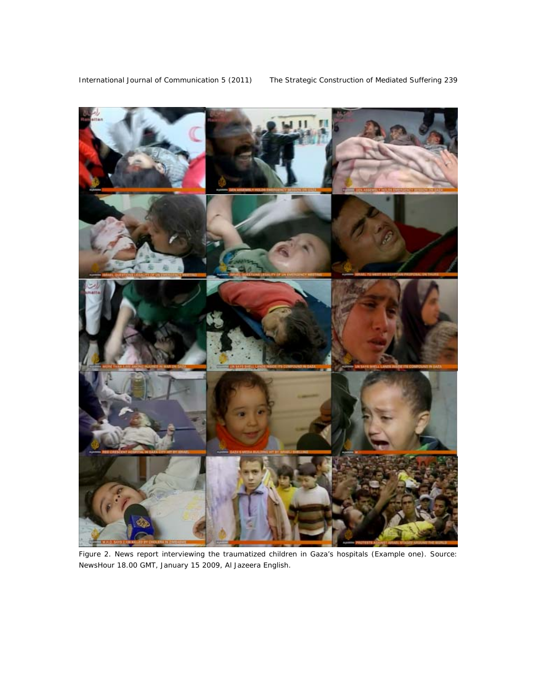

*Figure 2. News report interviewing the traumatized children in Gaza's hospitals (Example one). Source:*  NewsHour *18.00 GMT, January 15 2009, Al Jazeera English.*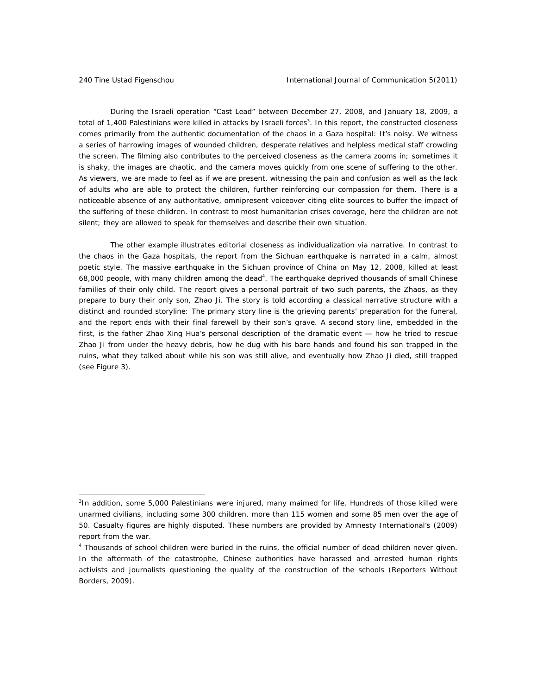During the Israeli operation "Cast Lead" between December 27, 2008, and January 18, 2009, a total of 1,400 Palestinians were killed in attacks by Israeli forces<sup>3</sup>. In this report, the constructed closeness comes primarily from the authentic documentation of the chaos in a Gaza hospital: It's noisy. We witness a series of harrowing images of wounded children, desperate relatives and helpless medical staff crowding the screen. The filming also contributes to the perceived closeness as the camera zooms in; sometimes it is shaky, the images are chaotic, and the camera moves quickly from one scene of suffering to the other. As viewers, we are made to feel as if we are present, witnessing the pain and confusion as well as the lack of adults who are able to protect the children, further reinforcing our compassion for them. There is a noticeable absence of any authoritative, omnipresent voiceover citing elite sources to buffer the impact of the suffering of these children. In contrast to most humanitarian crises coverage, here the children are not silent; they are allowed to speak for themselves and describe their own situation.

The other example illustrates editorial closeness as individualization via narrative. In contrast to the chaos in the Gaza hospitals, the report from the Sichuan earthquake is narrated in a calm, almost poetic style. The massive earthquake in the Sichuan province of China on May 12, 2008, killed at least 68,000 people, with many children among the dead<sup>4</sup>. The earthquake deprived thousands of small Chinese families of their only child. The report gives a personal portrait of two such parents, the Zhaos, as they prepare to bury their only son, Zhao Ji. The story is told according a classical narrative structure with a distinct and rounded storyline: The primary story line is the grieving parents' preparation for the funeral, and the report ends with their final farewell by their son's grave. A second story line, embedded in the first, is the father Zhao Xing Hua's personal description of the dramatic event — how he tried to rescue Zhao Ji from under the heavy debris, how he dug with his bare hands and found his son trapped in the ruins, what they talked about while his son was still alive, and eventually how Zhao Ji died, still trapped (see Figure 3).

<sup>&</sup>lt;sup>3</sup>In addition, some 5,000 Palestinians were injured, many maimed for life. Hundreds of those killed were unarmed civilians, including some 300 children, more than 115 women and some 85 men over the age of 50. Casualty figures are highly disputed. These numbers are provided by Amnesty International's (2009) report from the war.

<sup>&</sup>lt;sup>4</sup> Thousands of school children were buried in the ruins, the official number of dead children never given. In the aftermath of the catastrophe, Chinese authorities have harassed and arrested human rights activists and journalists questioning the quality of the construction of the schools (Reporters Without Borders, 2009).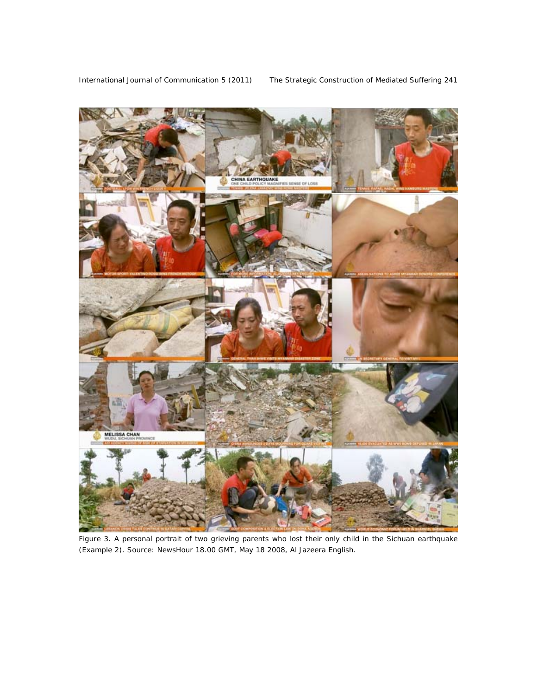

*Figure 3. A personal portrait of two grieving parents who lost their only child in the Sichuan earthquake (Example 2). Source:* NewsHour *18.00 GMT, May 18 2008, Al Jazeera English.*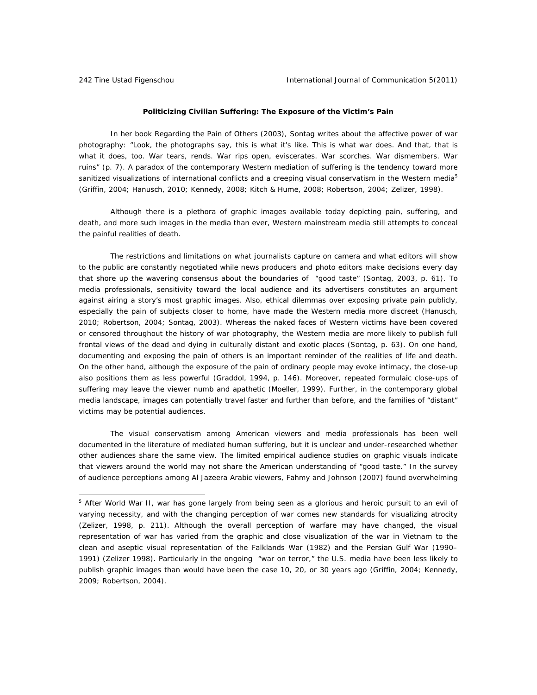#### **Politicizing Civilian Suffering: The Exposure of the Victim's Pain**

In her book *Regarding the Pain of Others* (2003), Sontag writes about the affective power of war photography: "Look, the photographs say, *this* is what it's like. This is what war *does.* And *that*, that is what it does, too. War tears, rends. War rips open, eviscerates. War scorches. War dismembers. War *ruins*" (p. 7)*.* A paradox of the contemporary Western mediation of suffering is the tendency toward more sanitized visualizations of international conflicts and a creeping visual conservatism in the Western media<sup>5</sup> (Griffin, 2004; Hanusch, 2010; Kennedy, 2008; Kitch & Hume, 2008; Robertson, 2004; Zelizer, 1998).

Although there is a plethora of graphic images available today depicting pain, suffering, and death, and more such images in the media than ever, Western mainstream media still attempts to conceal the painful realities of death.

The restrictions and limitations on what journalists capture on camera and what editors will show to the public are constantly negotiated while news producers and photo editors make decisions every day that shore up the wavering consensus about the boundaries of "good taste" (Sontag, 2003, p. 61). To media professionals, sensitivity toward the local audience and its advertisers constitutes an argument against airing a story's most graphic images. Also, ethical dilemmas over exposing private pain publicly, especially the pain of subjects closer to home, have made the Western media more discreet (Hanusch, 2010; Robertson, 2004; Sontag, 2003). Whereas the naked faces of Western victims have been covered or censored throughout the history of war photography, the Western media are more likely to publish full frontal views of the dead and dying in culturally distant and exotic places (Sontag, p. 63). On one hand, documenting and exposing the pain of others is an important reminder of the realities of life and death. On the other hand, although the exposure of the pain of ordinary people may evoke intimacy, the close-up also positions them as less powerful (Graddol, 1994, p. 146). Moreover, repeated formulaic close-ups of suffering may leave the viewer numb and apathetic (Moeller, 1999). Further, in the contemporary global media landscape, images can potentially travel faster and further than before, and the families of "distant" victims may be potential audiences.

The visual conservatism among American viewers and media professionals has been well documented in the literature of mediated human suffering, but it is unclear and under-researched whether other audiences share the same view. The limited empirical audience studies on graphic visuals indicate that viewers around the world may not share the American understanding of "good taste." In the survey of audience perceptions among Al Jazeera Arabic viewers, Fahmy and Johnson (2007) found overwhelming

<sup>&</sup>lt;sup>5</sup> After World War II, war has gone largely from being seen as a glorious and heroic pursuit to an evil of varying necessity, and with the changing perception of war comes new standards for visualizing atrocity (Zelizer, 1998, p. 211). Although the overall perception of warfare may have changed, the visual representation of war has varied from the graphic and close visualization of the war in Vietnam to the clean and aseptic visual representation of the Falklands War (1982) and the Persian Gulf War (1990– 1991) (Zelizer 1998). Particularly in the ongoing "war on terror," the U.S. media have been less likely to publish graphic images than would have been the case 10, 20, or 30 years ago (Griffin, 2004; Kennedy, 2009; Robertson, 2004).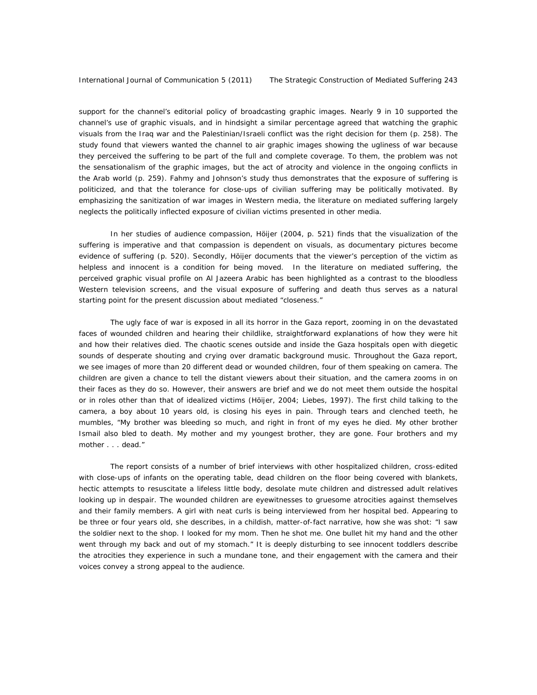support for the channel's editorial policy of broadcasting graphic images. Nearly 9 in 10 supported the channel's use of graphic visuals, and in hindsight a similar percentage agreed that watching the graphic visuals from the Iraq war and the Palestinian/Israeli conflict was the right decision for them (p. 258). The study found that viewers wanted the channel to air graphic images showing the ugliness of war because they perceived the suffering to be part of the full and complete coverage. To them, the problem was not the sensationalism of the graphic images, but the act of atrocity and violence in the ongoing conflicts in the Arab world (p. 259). Fahmy and Johnson's study thus demonstrates that the exposure of suffering is politicized, and that the tolerance for close-ups of civilian suffering may be politically motivated. By emphasizing the sanitization of war images in Western media, the literature on mediated suffering largely neglects the politically inflected exposure of civilian victims presented in other media.

In her studies of audience compassion, Höijer (2004, p. 521) finds that the visualization of the suffering is imperative and that compassion is dependent on visuals, as documentary pictures become evidence of suffering (p. 520). Secondly, Höijer documents that the viewer's perception of the victim as helpless and innocent is a condition for being moved. In the literature on mediated suffering, the perceived graphic visual profile on Al Jazeera Arabic has been highlighted as a contrast to the bloodless Western television screens, and the visual exposure of suffering and death thus serves as a natural starting point for the present discussion about mediated "closeness."

The ugly face of war is exposed in all its horror in the Gaza report, zooming in on the devastated faces of wounded children and hearing their childlike, straightforward explanations of how they were hit and how their relatives died. The chaotic scenes outside and inside the Gaza hospitals open with diegetic sounds of desperate shouting and crying over dramatic background music. Throughout the Gaza report, we see images of more than 20 different dead or wounded children, four of them speaking on camera. The children are given a chance to tell the distant viewers about their situation, and the camera zooms in on their faces as they do so. However, their answers are brief and we do not meet them outside the hospital or in roles other than that of idealized victims (Höijer, 2004; Liebes, 1997). The first child talking to the camera, a boy about 10 years old, is closing his eyes in pain. Through tears and clenched teeth, he mumbles, "My brother was bleeding so much, and right in front of my eyes he died. My other brother Ismail also bled to death. My mother and my youngest brother, they are gone. Four brothers and my mother . . . dead."

The report consists of a number of brief interviews with other hospitalized children, cross-edited with close-ups of infants on the operating table, dead children on the floor being covered with blankets, hectic attempts to resuscitate a lifeless little body, desolate mute children and distressed adult relatives looking up in despair. The wounded children are eyewitnesses to gruesome atrocities against themselves and their family members. A girl with neat curls is being interviewed from her hospital bed. Appearing to be three or four years old, she describes, in a childish, matter-of-fact narrative, how she was shot: "I saw the soldier next to the shop. I looked for my mom. Then he shot me. One bullet hit my hand and the other went through my back and out of my stomach." It is deeply disturbing to see innocent toddlers describe the atrocities they experience in such a mundane tone, and their engagement with the camera and their voices convey a strong appeal to the audience.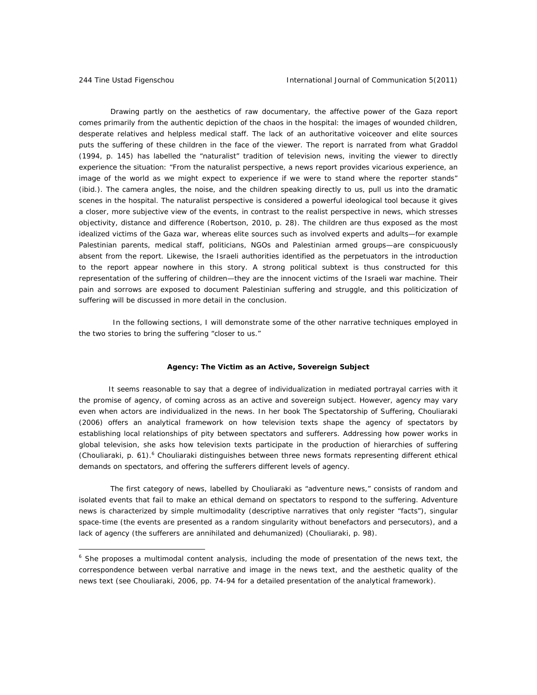Drawing partly on the aesthetics of raw documentary, the affective power of the Gaza report comes primarily from the authentic depiction of the chaos in the hospital: the images of wounded children, desperate relatives and helpless medical staff. The lack of an authoritative voiceover and elite sources puts the suffering of these children in the face of the viewer. The report is narrated from what Graddol (1994, p. 145) has labelled the "naturalist" tradition of television news, inviting the viewer to directly experience the situation: "From the naturalist perspective, a news report provides vicarious experience, an image of the world as we might expect to experience if we were to stand where the reporter stands" (ibid.). The camera angles, the noise, and the children speaking directly to us, pull us into the dramatic scenes in the hospital. The naturalist perspective is considered a powerful ideological tool because it gives a closer, more subjective view of the events, in contrast to the realist perspective in news, which stresses objectivity, distance and difference (Robertson, 2010, p. 28). The children are thus exposed as the most idealized victims of the Gaza war, whereas elite sources such as involved experts and adults—for example Palestinian parents, medical staff, politicians, NGOs and Palestinian armed groups—are conspicuously absent from the report. Likewise, the Israeli authorities identified as the perpetuators in the introduction to the report appear nowhere in this story. A strong political subtext is thus constructed for this representation of the suffering of children—they are the innocent victims of the Israeli war machine. Their pain and sorrows are exposed to document Palestinian suffering and struggle, and this politicization of suffering will be discussed in more detail in the conclusion.

 In the following sections, I will demonstrate some of the other narrative techniques employed in the two stories to bring the suffering "closer to us."

#### **Agency: The Victim as an Active, Sovereign Subject**

 It seems reasonable to say that a degree of individualization in mediated portrayal carries with it the promise of agency, of coming across as an active and sovereign subject. However, agency may vary even when actors are individualized in the news. In her book *The Spectatorship of Suffering,* Chouliaraki (2006) offers an analytical framework on how television texts shape the agency of spectators by establishing local relationships of pity between spectators and sufferers. Addressing how power works in global television, she asks how television texts participate in the production of hierarchies of suffering (Chouliaraki, p. 61).<sup>6</sup> Chouliaraki distinguishes between three news formats representing different ethical demands on spectators, and offering the sufferers different levels of agency.

The first category of news, labelled by Chouliaraki as "adventure news," consists of random and isolated events that fail to make an ethical demand on spectators to respond to the suffering. Adventure news is characterized by simple multimodality (descriptive narratives that only register "facts"), singular space-time (the events are presented as a random singularity without benefactors and persecutors), and a lack of agency (the sufferers are annihilated and dehumanized) (Chouliaraki, p. 98).

<sup>&</sup>lt;sup>6</sup> She proposes a multimodal content analysis, including the mode of presentation of the news text, the correspondence between verbal narrative and image in the news text, and the aesthetic quality of the news text (see Chouliaraki, 2006, pp. 74-94 for a detailed presentation of the analytical framework).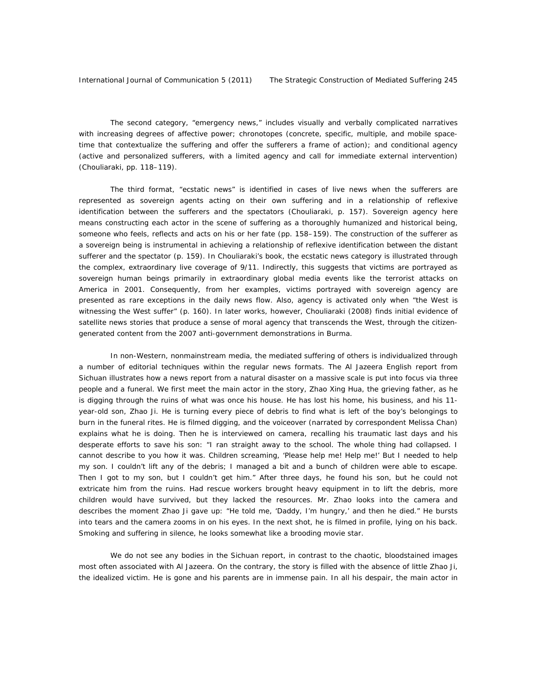The second category, "emergency news," includes visually and verbally complicated narratives with increasing degrees of affective power; chronotopes (concrete, specific, multiple, and mobile spacetime that contextualize the suffering and offer the sufferers a frame of action); and conditional agency (active and personalized sufferers, with a limited agency and call for immediate external intervention) (Chouliaraki, pp. 118–119).

The third format, "ecstatic news" is identified in cases of live news when the sufferers are represented as sovereign agents acting on their own suffering and in a relationship of reflexive identification between the sufferers and the spectators (Chouliaraki, p. 157). Sovereign agency here means constructing each actor in the scene of suffering as a thoroughly humanized and historical being, someone who feels, reflects and acts on his or her fate (pp. 158–159). The construction of the sufferer as a sovereign being is instrumental in achieving a relationship of reflexive identification between the distant sufferer and the spectator (p. 159). In Chouliaraki's book, the ecstatic news category is illustrated through the complex, extraordinary live coverage of 9/11. Indirectly, this suggests that victims are portrayed as sovereign human beings primarily in extraordinary global media events like the terrorist attacks on America in 2001. Consequently, from her examples, victims portrayed with sovereign agency are presented as rare exceptions in the daily news flow. Also, agency is activated only when "the West is witnessing the West suffer" (p. 160). In later works, however, Chouliaraki (2008) finds initial evidence of satellite news stories that produce a sense of moral agency that transcends the West, through the citizengenerated content from the 2007 anti-government demonstrations in Burma.

In non-Western, nonmainstream media, the mediated suffering of others is individualized through a number of editorial techniques within the regular news formats. The Al Jazeera English report from Sichuan illustrates how a news report from a natural disaster on a massive scale is put into focus via three people and a funeral. We first meet the main actor in the story, Zhao Xing Hua, the grieving father, as he is digging through the ruins of what was once his house. He has lost his home, his business, and his 11 year-old son, Zhao Ji. He is turning every piece of debris to find what is left of the boy's belongings to burn in the funeral rites. He is filmed digging, and the voiceover (narrated by correspondent Melissa Chan) explains what he is doing. Then he is interviewed on camera, recalling his traumatic last days and his desperate efforts to save his son: "I ran straight away to the school. The whole thing had collapsed. I cannot describe to you how it was. Children screaming, 'Please help me! Help me!' But I needed to help my son. I couldn't lift any of the debris; I managed a bit and a bunch of children were able to escape. Then I got to my son, but I couldn't get him." After three days, he found his son, but he could not extricate him from the ruins. Had rescue workers brought heavy equipment in to lift the debris, more children would have survived, but they lacked the resources. Mr. Zhao looks into the camera and describes the moment Zhao Ji gave up: "He told me, 'Daddy, I'm hungry,' and then he died." He bursts into tears and the camera zooms in on his eyes. In the next shot, he is filmed in profile, lying on his back. Smoking and suffering in silence, he looks somewhat like a brooding movie star.

 We do not see any bodies in the Sichuan report, in contrast to the chaotic, bloodstained images most often associated with Al Jazeera. On the contrary, the story is filled with the absence of little Zhao Ji, the idealized victim. He is gone and his parents are in immense pain. In all his despair, the main actor in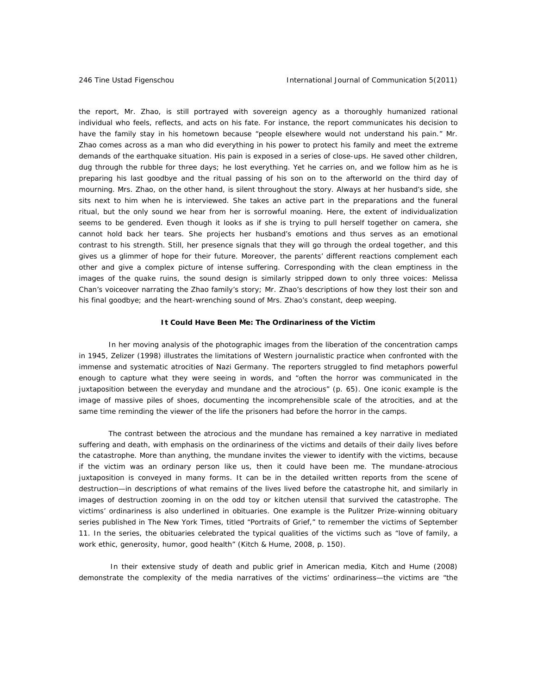the report, Mr. Zhao, is still portrayed with sovereign agency as a thoroughly humanized rational individual who feels, reflects, and acts on his fate. For instance, the report communicates his decision to have the family stay in his hometown because "people elsewhere would not understand his pain." Mr. Zhao comes across as a man who did everything in his power to protect his family and meet the extreme demands of the earthquake situation. His pain is exposed in a series of close-ups. He saved other children, dug through the rubble for three days; he lost everything. Yet he carries on, and we follow him as he is preparing his last goodbye and the ritual passing of his son on to the afterworld on the third day of mourning. Mrs. Zhao, on the other hand, is silent throughout the story. Always at her husband's side, she sits next to him when he is interviewed. She takes an active part in the preparations and the funeral ritual, but the only sound we hear from her is sorrowful moaning. Here, the extent of individualization seems to be gendered. Even though it looks as if she is trying to pull herself together on camera, she cannot hold back her tears. She projects her husband's emotions and thus serves as an emotional contrast to his strength. Still, her presence signals that they will go through the ordeal together, and this gives us a glimmer of hope for their future. Moreover, the parents' different reactions complement each other and give a complex picture of intense suffering. Corresponding with the clean emptiness in the images of the quake ruins, the sound design is similarly stripped down to only three voices: Melissa Chan's voiceover narrating the Zhao family's story; Mr. Zhao's descriptions of how they lost their son and his final goodbye; and the heart-wrenching sound of Mrs. Zhao's constant, deep weeping.

#### **It Could Have Been Me: The Ordinariness of the Victim**

 In her moving analysis of the photographic images from the liberation of the concentration camps in 1945, Zelizer (1998) illustrates the limitations of Western journalistic practice when confronted with the immense and systematic atrocities of Nazi Germany. The reporters struggled to find metaphors powerful enough to capture what they were seeing in words, and "often the horror was communicated in the juxtaposition between the everyday and mundane and the atrocious" (p. 65). One iconic example is the image of massive piles of shoes, documenting the incomprehensible scale of the atrocities, and at the same time reminding the viewer of the life the prisoners had before the horror in the camps.

 The contrast between the atrocious and the mundane has remained a key narrative in mediated suffering and death, with emphasis on the ordinariness of the victims and details of their daily lives before the catastrophe. More than anything, the mundane invites the viewer to identify with the victims, because if the victim was an ordinary person like us, then it could have been me. The mundane-atrocious juxtaposition is conveyed in many forms. It can be in the detailed written reports from the scene of destruction—in descriptions of what remains of the lives lived before the catastrophe hit, and similarly in images of destruction zooming in on the odd toy or kitchen utensil that survived the catastrophe. The victims' ordinariness is also underlined in obituaries. One example is the Pulitzer Prize-winning obituary series published in *The New York Times,* titled "Portraits of Grief," to remember the victims of September 11. In the series, the obituaries celebrated the typical qualities of the victims such as "love of family, a work ethic, generosity, humor, good health" (Kitch & Hume, 2008, p. 150).

In their extensive study of death and public grief in American media, Kitch and Hume (2008) demonstrate the complexity of the media narratives of the victims' ordinariness—the victims are "the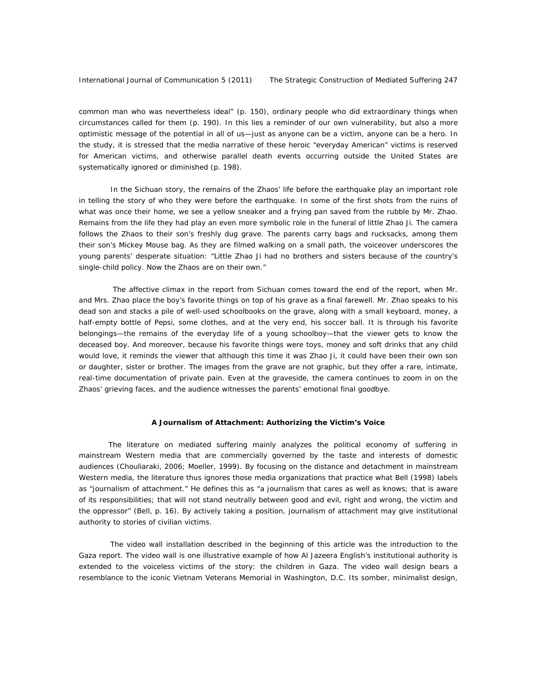common man who was nevertheless ideal" (p. 150), ordinary people who did extraordinary things when circumstances called for them (p. 190). In this lies a reminder of our own vulnerability, but also a more optimistic message of the potential in all of us—just as anyone can be a victim, anyone can be a hero. In the study, it is stressed that the media narrative of these heroic "everyday American" victims is reserved for American victims, and otherwise parallel death events occurring outside the United States are systematically ignored or diminished (p. 198).

In the Sichuan story, the remains of the Zhaos' life before the earthquake play an important role in telling the story of who they were before the earthquake. In some of the first shots from the ruins of what was once their home, we see a yellow sneaker and a frying pan saved from the rubble by Mr. Zhao. Remains from the life they had play an even more symbolic role in the funeral of little Zhao Ji. The camera follows the Zhaos to their son's freshly dug grave. The parents carry bags and rucksacks, among them their son's Mickey Mouse bag. As they are filmed walking on a small path, the voiceover underscores the young parents' desperate situation: "Little Zhao Ji had no brothers and sisters because of the country's single-child policy. Now the Zhaos are on their own."

 The affective climax in the report from Sichuan comes toward the end of the report, when Mr. and Mrs. Zhao place the boy's favorite things on top of his grave as a final farewell. Mr. Zhao speaks to his dead son and stacks a pile of well-used schoolbooks on the grave, along with a small keyboard, money, a half-empty bottle of Pepsi, some clothes, and at the very end, his soccer ball. It is through his favorite belongings—the remains of the everyday life of a young schoolboy—that the viewer gets to know the deceased boy. And moreover, because his favorite things were toys, money and soft drinks that any child would love, it reminds the viewer that although this time it was Zhao Ji, it could have been their own son or daughter, sister or brother. The images from the grave are not graphic, but they offer a rare, intimate, real-time documentation of private pain. Even at the graveside, the camera continues to zoom in on the Zhaos' grieving faces, and the audience witnesses the parents' emotional final goodbye.

#### **A Journalism of Attachment: Authorizing the Victim's Voice**

 The literature on mediated suffering mainly analyzes the political economy of suffering in mainstream Western media that are commercially governed by the taste and interests of domestic audiences (Chouliaraki, 2006; Moeller, 1999). By focusing on the distance and detachment in mainstream Western media, the literature thus ignores those media organizations that practice what Bell (1998) labels as "journalism of attachment." He defines this as "a journalism that cares as well as knows; that is aware of its responsibilities; that will not stand neutrally between good and evil, right and wrong, the victim and the oppressor" (Bell, p. 16). By actively taking a position, journalism of attachment may give institutional authority to stories of civilian victims.

 The video wall installation described in the beginning of this article was the introduction to the Gaza report. The video wall is one illustrative example of how Al Jazeera English's institutional authority is extended to the voiceless victims of the story: the children in Gaza. The video wall design bears a resemblance to the iconic Vietnam Veterans Memorial in Washington, D.C. Its somber, minimalist design,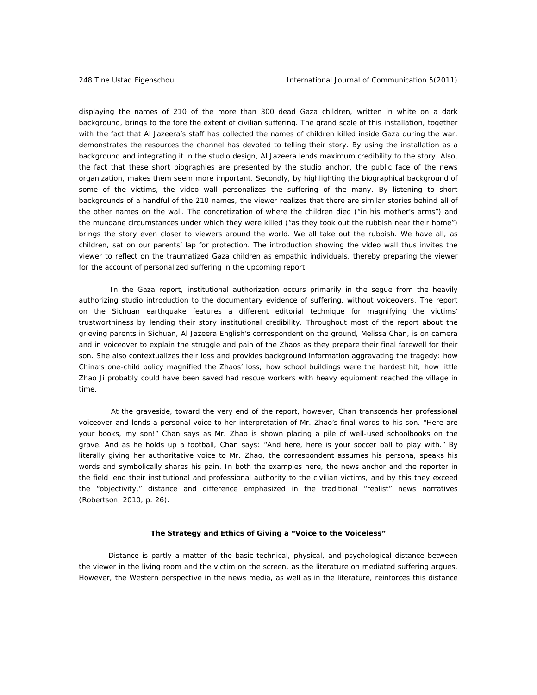displaying the names of 210 of the more than 300 dead Gaza children, written in white on a dark background, brings to the fore the extent of civilian suffering. The grand scale of this installation, together with the fact that Al Jazeera's staff has collected the names of children killed inside Gaza during the war, demonstrates the resources the channel has devoted to telling their story. By using the installation as a background and integrating it in the studio design, Al Jazeera lends maximum credibility to the story. Also, the fact that these short biographies are presented by the studio anchor, the public face of the news organization, makes them seem more important. Secondly, by highlighting the biographical background of some of the victims, the video wall personalizes the suffering of the many. By listening to short backgrounds of a handful of the 210 names, the viewer realizes that there are similar stories behind all of the other names on the wall. The concretization of where the children died ("in his mother's arms") and the mundane circumstances under which they were killed ("as they took out the rubbish near their home") brings the story even closer to viewers around the world. We all take out the rubbish. We have all, as children, sat on our parents' lap for protection. The introduction showing the video wall thus invites the viewer to reflect on the traumatized Gaza children as empathic individuals, thereby preparing the viewer for the account of personalized suffering in the upcoming report.

 In the Gaza report, institutional authorization occurs primarily in the segue from the heavily authorizing studio introduction to the documentary evidence of suffering, without voiceovers. The report on the Sichuan earthquake features a different editorial technique for magnifying the victims' trustworthiness by lending their story institutional credibility. Throughout most of the report about the grieving parents in Sichuan, Al Jazeera English's correspondent on the ground, Melissa Chan, is on camera and in voiceover to explain the struggle and pain of the Zhaos as they prepare their final farewell for their son. She also contextualizes their loss and provides background information aggravating the tragedy: how China's one-child policy magnified the Zhaos' loss; how school buildings were the hardest hit; how little Zhao Ji probably could have been saved had rescue workers with heavy equipment reached the village in time.

 At the graveside, toward the very end of the report, however, Chan transcends her professional voiceover and lends a personal voice to her interpretation of Mr. Zhao's final words to his son. "Here are your books, my son!" Chan says as Mr. Zhao is shown placing a pile of well-used schoolbooks on the grave. And as he holds up a football, Chan says: "And here, here is your soccer ball to play with." By literally giving her authoritative voice to Mr. Zhao, the correspondent assumes his persona, speaks his words and symbolically shares his pain. In both the examples here, the news anchor and the reporter in the field lend their institutional and professional authority to the civilian victims, and by this they exceed the "objectivity," distance and difference emphasized in the traditional "realist" news narratives (Robertson, 2010, p. 26).

### **The Strategy and Ethics of Giving a "Voice to the Voiceless"**

 Distance is partly a matter of the basic technical, physical, and psychological distance between the viewer in the living room and the victim on the screen, as the literature on mediated suffering argues. However, the Western perspective in the news media, as well as in the literature, reinforces this distance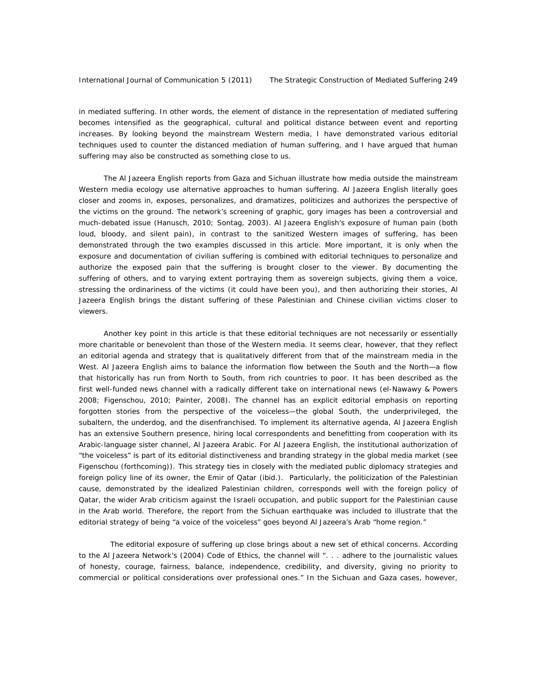in mediated suffering. In other words, the element of distance in the representation of mediated suffering becomes intensified as the geographical, cultural and political distance between event and reporting increases. By looking beyond the mainstream Western media, I have demonstrated various editorial techniques used to counter the distanced mediation of human suffering, and I have argued that human suffering may also be constructed as something close to us.

 The Al Jazeera English reports from Gaza and Sichuan illustrate how media outside the mainstream Western media ecology use alternative approaches to human suffering. Al Jazeera English literally goes closer and zooms in, exposes, personalizes, and dramatizes, politicizes and authorizes the perspective of the victims on the ground. The network's screening of graphic, gory images has been a controversial and much-debated issue (Hanusch, 2010; Sontag, 2003). Al Jazeera English's exposure of human pain (both loud, bloody, and silent pain), in contrast to the sanitized Western images of suffering, has been demonstrated through the two examples discussed in this article. More important, it is only when the exposure and documentation of civilian suffering is combined with editorial techniques to personalize and authorize the exposed pain that the suffering is brought closer to the viewer. By documenting the suffering of others, and to varying extent portraying them as sovereign subjects, giving them a voice, stressing the ordinariness of the victims (it could have been you), and then authorizing their stories, Al Jazeera English brings the distant suffering of these Palestinian and Chinese civilian victims closer to viewers.

 Another key point in this article is that these editorial techniques are not necessarily or essentially more charitable or benevolent than those of the Western media. It seems clear, however, that they reflect an editorial agenda and strategy that is qualitatively different from that of the mainstream media in the West. Al Jazeera English aims to balance the information flow between the South and the North-a flow that historically has run from North to South, from rich countries to poor. It has been described as the first well-funded news channel with a radically different take on international news (el-Nawawy & Powers 2008; Figenschou, 2010; Painter, 2008). The channel has an explicit editorial emphasis on reporting forgotten stories from the perspective of the voiceless—the global South, the underprivileged, the subaltern, the underdog, and the disenfranchised. To implement its alternative agenda, Al Jazeera English has an extensive Southern presence, hiring local correspondents and benefitting from cooperation with its Arabic-language sister channel, Al Jazeera Arabic. For Al Jazeera English, the institutional authorization of "the voiceless" is part of its editorial distinctiveness and branding strategy in the global media market (see Figenschou (forthcoming)). This strategy ties in closely with the mediated public diplomacy strategies and foreign policy line of its owner, the Emir of Qatar (ibid.). Particularly, the politicization of the Palestinian cause, demonstrated by the idealized Palestinian children, corresponds well with the foreign policy of Qatar, the wider Arab criticism against the Israeli occupation, and public support for the Palestinian cause in the Arab world. Therefore, the report from the Sichuan earthquake was included to illustrate that the editorial strategy of being "a voice of the voiceless" goes beyond Al Jazeera's Arab "home region."

The editorial exposure of suffering up close brings about a new set of ethical concerns. According to the Al Jazeera Network's (2004) *Code of Ethics*, the channel will ". . . adhere to the journalistic values of honesty, courage, fairness, balance, independence, credibility, and diversity, giving no priority to commercial or political considerations over professional ones." In the Sichuan and Gaza cases, however,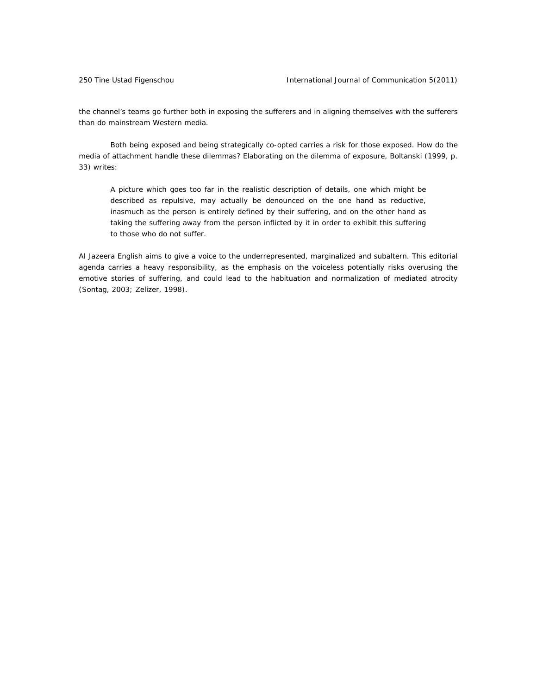the channel's teams go further both in exposing the sufferers and in aligning themselves with the sufferers than do mainstream Western media.

Both being exposed and being strategically co-opted carries a risk for those exposed. How do the media of attachment handle these dilemmas? Elaborating on the dilemma of exposure, Boltanski (1999, p. 33) writes:

A picture which goes too far in the realistic description of details, one which might be described as repulsive, may actually be denounced on the one hand as *reductive,*  inasmuch as the person is entirely defined by their suffering, and on the other hand as taking the suffering away from the person inflicted by it in order to *exhibit* this suffering to those who do not suffer.

Al Jazeera English aims to give a voice to the underrepresented, marginalized and subaltern. This editorial agenda carries a heavy responsibility, as the emphasis on the voiceless potentially risks overusing the emotive stories of suffering, and could lead to the habituation and normalization of mediated atrocity (Sontag, 2003; Zelizer, 1998).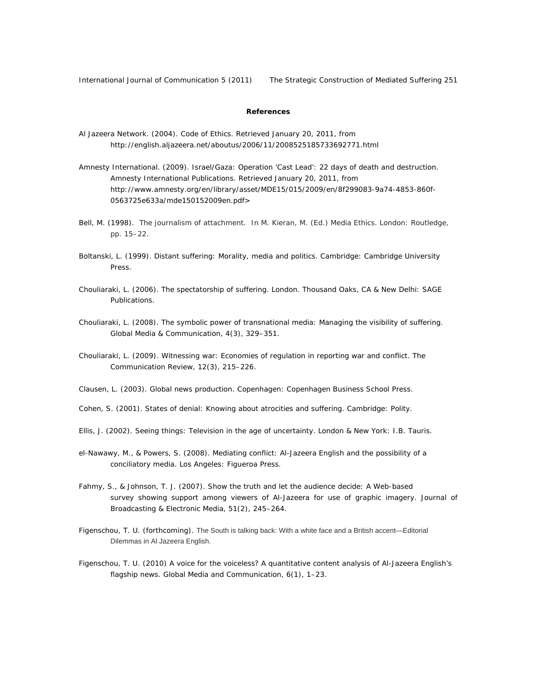International Journal of Communication 5 (2011) The Strategic Construction of Mediated Suffering 251

### **References**

- Al Jazeera Network. (2004). *Code of Ethics.* Retrieved January 20, 2011, from http://english.aljazeera.net/aboutus/2006/11/2008525185733692771.html
- Amnesty International. (2009). *Israel/Gaza: Operation 'Cast Lead': 22 days of death and destruction.*  Amnesty International Publications. Retrieved January 20, 2011, from http://www.amnesty.org/en/library/asset/MDE15/015/2009/en/8f299083-9a74-4853-860f-0563725e633a/mde150152009en.pdf>
- Bell, M. (1998). The journalism of attachment. In M. Kieran, M. (Ed.) *Media Ethics*. London: Routledge, pp. 15–22.
- Boltanski, L. (1999). *Distant suffering: Morality, media and politics.* Cambridge: Cambridge University Press.
- Chouliaraki, L. (2006). *The spectatorship of suffering.* London. Thousand Oaks, CA & New Delhi: SAGE Publications.
- Chouliaraki, L. (2008). The symbolic power of transnational media: Managing the visibility of suffering. *Global Media & Communication, 4*(3), 329–351.
- Chouliaraki, L. (2009). Witnessing war: Economies of regulation in reporting war and conflict. *The Communication Review*, *12*(3), 215–226.
- Clausen, L. (2003). *Global news production*. Copenhagen: Copenhagen Business School Press.
- Cohen, S. (2001). *States of denial: Knowing about atrocities and suffering*. Cambridge: Polity.
- Ellis, J. (2002). *Seeing things: Television in the age of uncertainty.* London & New York: I.B. Tauris.
- el-Nawawy, M., & Powers, S. (2008). *Mediating conflict: Al-Jazeera English and the possibility of a conciliatory media.* Los Angeles: Figueroa Press.
- Fahmy, S., & Johnson, T. J. (2007). Show the truth and let the audience decide: A Web-based survey showing support among viewers of Al-Jazeera for use of graphic imagery. *Journal of Broadcasting & Electronic Media, 51*(2), 245–264.
- Figenschou, T. U. (forthcoming). The South is talking back: With a white face and a British accent—Editorial Dilemmas in Al Jazeera English.
- Figenschou, T. U. (2010) A voice for the voiceless? A quantitative content analysis of Al-Jazeera English's flagship news. *Global Media and Communication, 6*(1), 1–23.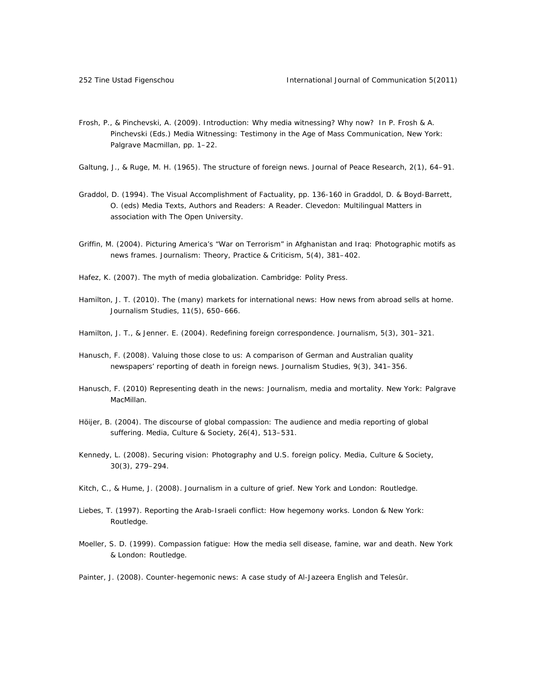Frosh, P., & Pinchevski, A. (2009). Introduction: Why media witnessing? Why now? In P. Frosh & A. Pinchevski (Eds.) *Media Witnessing: Testimony in the Age of Mass Communication*, New York: Palgrave Macmillan, pp. 1–22.

Galtung, J., & Ruge, M. H. (1965). The structure of foreign news. *Journal of Peace Research*, *2*(1), 64–91.

- Graddol, D. (1994). The Visual Accomplishment of Factuality, pp. 136-160 in Graddol, D. & Boyd-Barrett, O. (eds) *Media Texts, Authors and Readers: A Reader.* Clevedon: Multilingual Matters in association with The Open University.
- Griffin, M. (2004). Picturing America's "War on Terrorism" in Afghanistan and Iraq: Photographic motifs as news frames. *Journalism: Theory, Practice & Criticism, 5*(4), 381–402.

Hafez, K. (2007). *The myth of media globalization*. Cambridge: Polity Press.

- Hamilton, J. T. (2010). The (many) markets for international news: How news from abroad sells at home. *Journalism Studies*, *11*(5), 650–666.
- Hamilton, J. T., & Jenner. E. (2004). Redefining foreign correspondence. *Journalism*, *5*(3), 301–321.
- Hanusch, F. (2008). Valuing those close to us: A comparison of German and Australian quality newspapers' reporting of death in foreign news. *Journalism Studies*, *9*(3), 341–356.
- Hanusch, F. (2010) *Representing death in the news: Journalism, media and mortality*. New York: Palgrave MacMillan.
- Höijer, B. (2004). The discourse of global compassion: The audience and media reporting of global suffering. *Media, Culture & Society, 26*(4), 513–531.
- Kennedy, L. (2008). Securing vision: Photography and U.S. foreign policy. *Media, Culture & Society*, *30*(3), 279–294.
- Kitch, C., & Hume, J. (2008). *Journalism in a culture of grief.* New York and London: Routledge.
- Liebes, T. (1997). *Reporting the Arab-Israeli conflict: How hegemony works*. London & New York: Routledge.
- Moeller, S. D. (1999). *Compassion fatigue: How the media sell disease, famine, war and death.* New York & London: Routledge.
- Painter, J. (2008). *Counter-hegemonic news: A case study of Al-Jazeera English and Telesûr.*